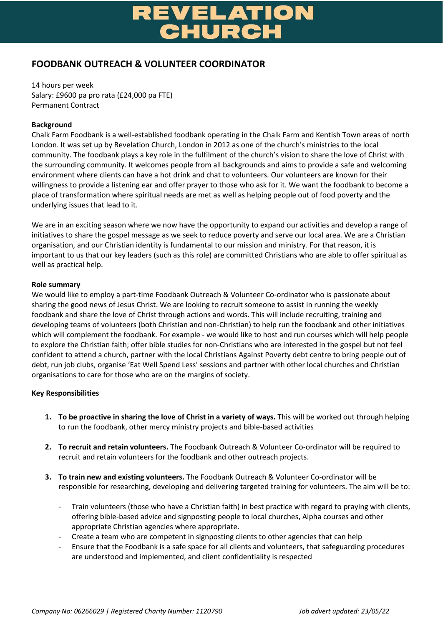# **ATION**

# **FOODBANK OUTREACH & VOLUNTEER COORDINATOR**

14 hours per week Salary: £9600 pa pro rata (£24,000 pa FTE) Permanent Contract

# **Background**

Chalk Farm Foodbank is a well-established foodbank operating in the Chalk Farm and Kentish Town areas of north London. It was set up by Revelation Church, London in 2012 as one of the church's ministries to the local community. The foodbank plays a key role in the fulfilment of the church's vision to share the love of Christ with the surrounding community. It welcomes people from all backgrounds and aims to provide a safe and welcoming environment where clients can have a hot drink and chat to volunteers. Our volunteers are known for their willingness to provide a listening ear and offer prayer to those who ask for it. We want the foodbank to become a place of transformation where spiritual needs are met as well as helping people out of food poverty and the underlying issues that lead to it.

We are in an exciting season where we now have the opportunity to expand our activities and develop a range of initiatives to share the gospel message as we seek to reduce poverty and serve our local area. We are a Christian organisation, and our Christian identity is fundamental to our mission and ministry. For that reason, it is important to us that our key leaders (such as this role) are committed Christians who are able to offer spiritual as well as practical help.

# **Role summary**

We would like to employ a part-time Foodbank Outreach & Volunteer Co-ordinator who is passionate about sharing the good news of Jesus Christ. We are looking to recruit someone to assist in running the weekly foodbank and share the love of Christ through actions and words. This will include recruiting, training and developing teams of volunteers (both Christian and non-Christian) to help run the foodbank and other initiatives which will complement the foodbank. For example - we would like to host and run courses which will help people to explore the Christian faith; offer bible studies for non-Christians who are interested in the gospel but not feel confident to attend a church, partner with the local Christians Against Poverty debt centre to bring people out of debt, run job clubs, organise 'Eat Well Spend Less' sessions and partner with other local churches and Christian organisations to care for those who are on the margins of society.

# **Key Responsibilities**

- **1. To be proactive in sharing the love of Christ in a variety of ways.** This will be worked out through helping to run the foodbank, other mercy ministry projects and bible-based activities
- **2. To recruit and retain volunteers.** The Foodbank Outreach & Volunteer Co-ordinator will be required to recruit and retain volunteers for the foodbank and other outreach projects.
- **3. To train new and existing volunteers.** The Foodbank Outreach & Volunteer Co-ordinator will be responsible for researching, developing and delivering targeted training for volunteers. The aim will be to:
	- Train volunteers (those who have a Christian faith) in best practice with regard to praying with clients, offering bible-based advice and signposting people to local churches, Alpha courses and other appropriate Christian agencies where appropriate.
	- Create a team who are competent in signposting clients to other agencies that can help
	- Ensure that the Foodbank is a safe space for all clients and volunteers, that safeguarding procedures are understood and implemented, and client confidentiality is respected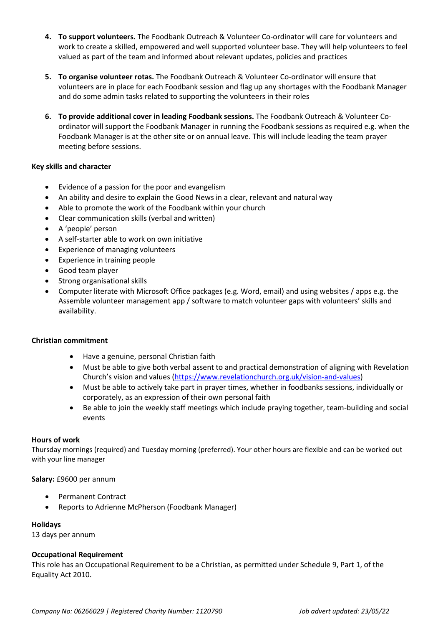- **4. To support volunteers.** The Foodbank Outreach & Volunteer Co-ordinator will care for volunteers and work to create a skilled, empowered and well supported volunteer base. They will help volunteers to feel valued as part of the team and informed about relevant updates, policies and practices
- **5. To organise volunteer rotas.** The Foodbank Outreach & Volunteer Co-ordinator will ensure that volunteers are in place for each Foodbank session and flag up any shortages with the Foodbank Manager and do some admin tasks related to supporting the volunteers in their roles
- **6. To provide additional cover in leading Foodbank sessions.** The Foodbank Outreach & Volunteer Coordinator will support the Foodbank Manager in running the Foodbank sessions as required e.g. when the Foodbank Manager is at the other site or on annual leave. This will include leading the team prayer meeting before sessions.

# **Key skills and character**

- Evidence of a passion for the poor and evangelism
- An ability and desire to explain the Good News in a clear, relevant and natural way
- Able to promote the work of the Foodbank within your church
- Clear communication skills (verbal and written)
- A 'people' person
- A self-starter able to work on own initiative
- Experience of managing volunteers
- Experience in training people
- Good team player
- Strong organisational skills
- Computer literate with Microsoft Office packages (e.g. Word, email) and using websites / apps e.g. the Assemble volunteer management app / software to match volunteer gaps with volunteers' skills and availability.

#### **Christian commitment**

- Have a genuine, personal Christian faith
- Must be able to give both verbal assent to and practical demonstration of aligning with Revelation Church's vision and values [\(https://www.revelationchurch.org.uk/vision-and-values\)](https://www.revelationchurch.org.uk/vision-and-values)
- Must be able to actively take part in prayer times, whether in foodbanks sessions, individually or corporately, as an expression of their own personal faith
- Be able to join the weekly staff meetings which include praying together, team-building and social events

#### **Hours of work**

Thursday mornings (required) and Tuesday morning (preferred). Your other hours are flexible and can be worked out with your line manager

#### **Salary:** £9600 per annum

- Permanent Contract
- Reports to Adrienne McPherson (Foodbank Manager)

**Holidays**

13 days per annum

#### **Occupational Requirement**

This role has an Occupational Requirement to be a Christian, as permitted under Schedule 9, Part 1, of the Equality Act 2010.